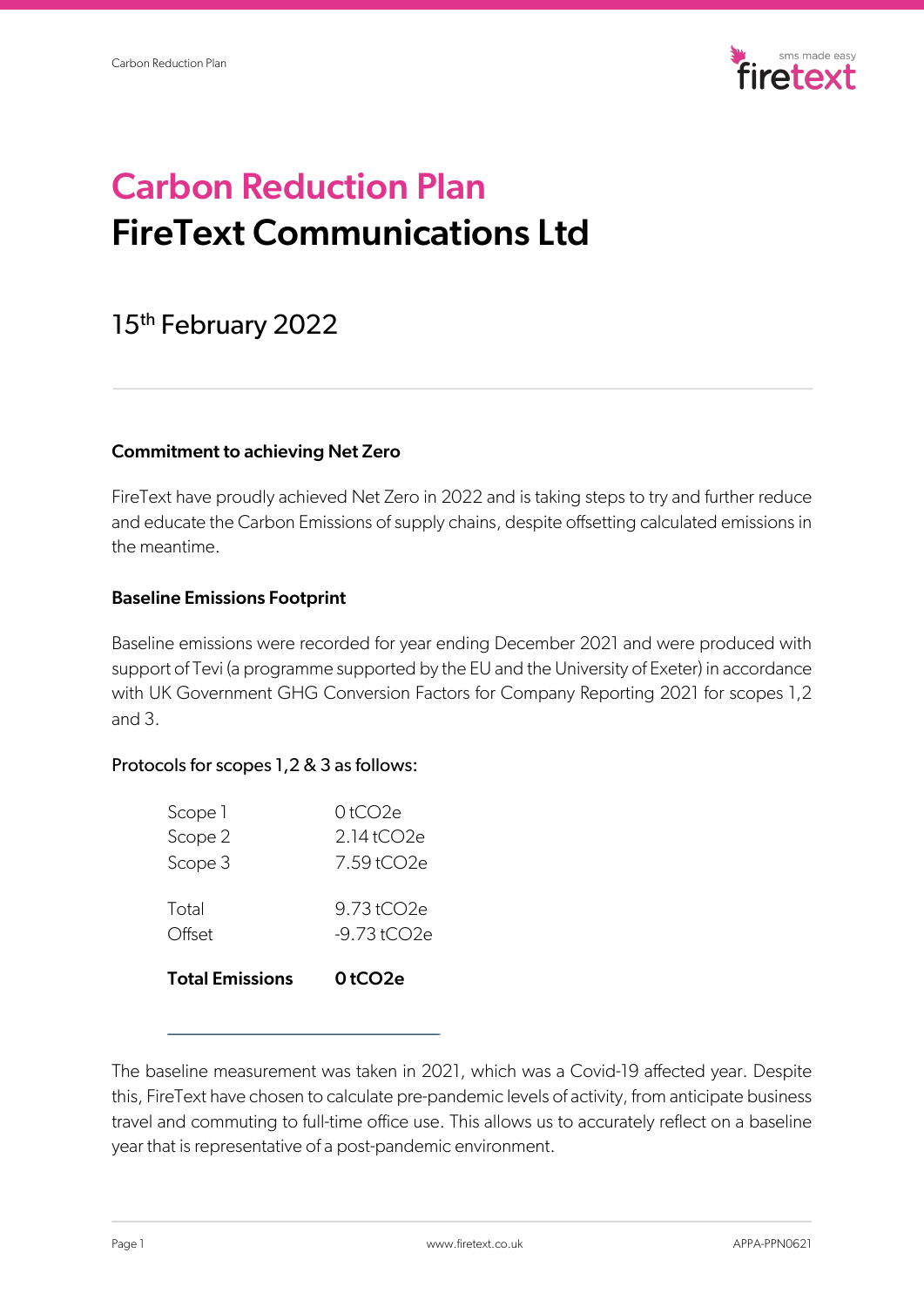

# Carbon Reduction Plan FireText Communications Ltd

# 15<sup>th</sup> February 2022

# Commitment to achieving Net Zero

FireText have proudly achieved Net Zero in 2022 and is taking steps to try and further reduce and educate the Carbon Emissions of supply chains, despite offsetting calculated emissions in the meantime.

# Baseline Emissions Footprint

Baseline emissions were recorded for year ending December 2021 and were produced with support of Tevi (a programme supported by the EU and the University of Exeter) in accordance with UK Government GHG Conversion Factors for Company Reporting 2021 for scopes 1,2 and 3.

# Protocols for scopes 1,2 & 3 as follows:

| <b>Total Emissions</b> | 0 tCO2e                  |
|------------------------|--------------------------|
| Total<br>Offset        | 9.73tCO2e<br>-9.73 tCO2e |
| Scope 3                | 7.59tCO2e                |
| Scope 2                | 2.14tCO2e                |
| Scope 1                | 0tCO2e                   |

The baseline measurement was taken in 2021, which was a Covid-19 affected year. Despite this, FireText have chosen to calculate pre-pandemic levels of activity, from anticipate business travel and commuting to full-time office use. This allows us to accurately reflect on a baseline year that is representative of a post-pandemic environment.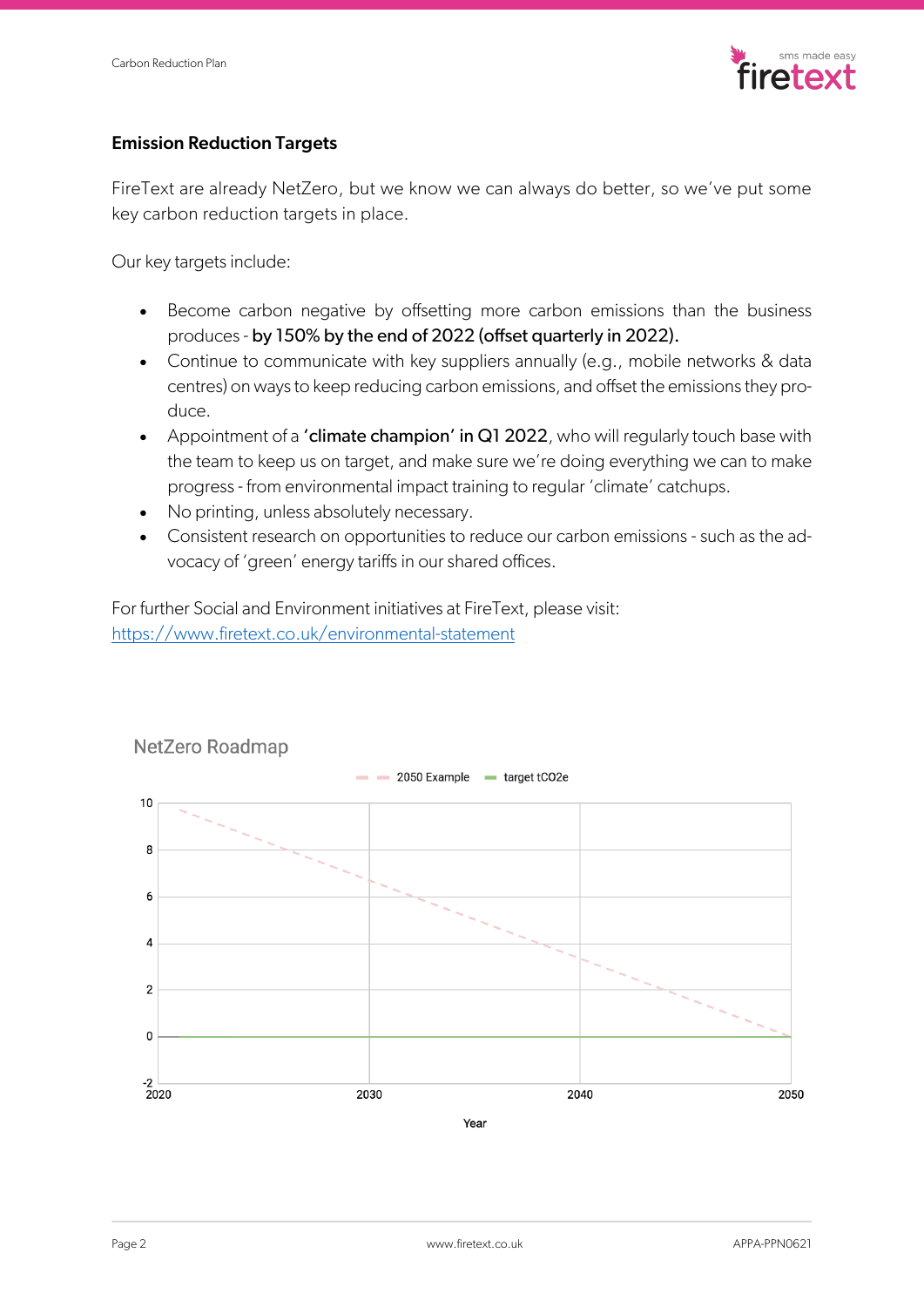

# Emission Reduction Targets

FireText are already NetZero, but we know we can always do better, so we've put some key carbon reduction targets in place.

Our key targets include:

- Become carbon negative by offsetting more carbon emissions than the business produces - by 150% by the end of 2022 (offset quarterly in 2022).
- Continue to communicate with key suppliers annually (e.g., mobile networks & data centres) on ways to keep reducing carbon emissions, and offset the emissions they produce.
- Appointment of a 'climate champion' in Q1 2022, who will regularly touch base with the team to keep us on target, and make sure we're doing everything we can to make progress - from environmental impact training to regular 'climate' catchups.
- No printing, unless absolutely necessary.
- Consistent research on opportunities to reduce our carbon emissions such as the advocacy of 'green' energy tariffs in our shared offices.

For further Social and Environment initiatives at FireText, please visit: https://www.firetext.co.uk/environmental-statement



#### NetZero Roadmap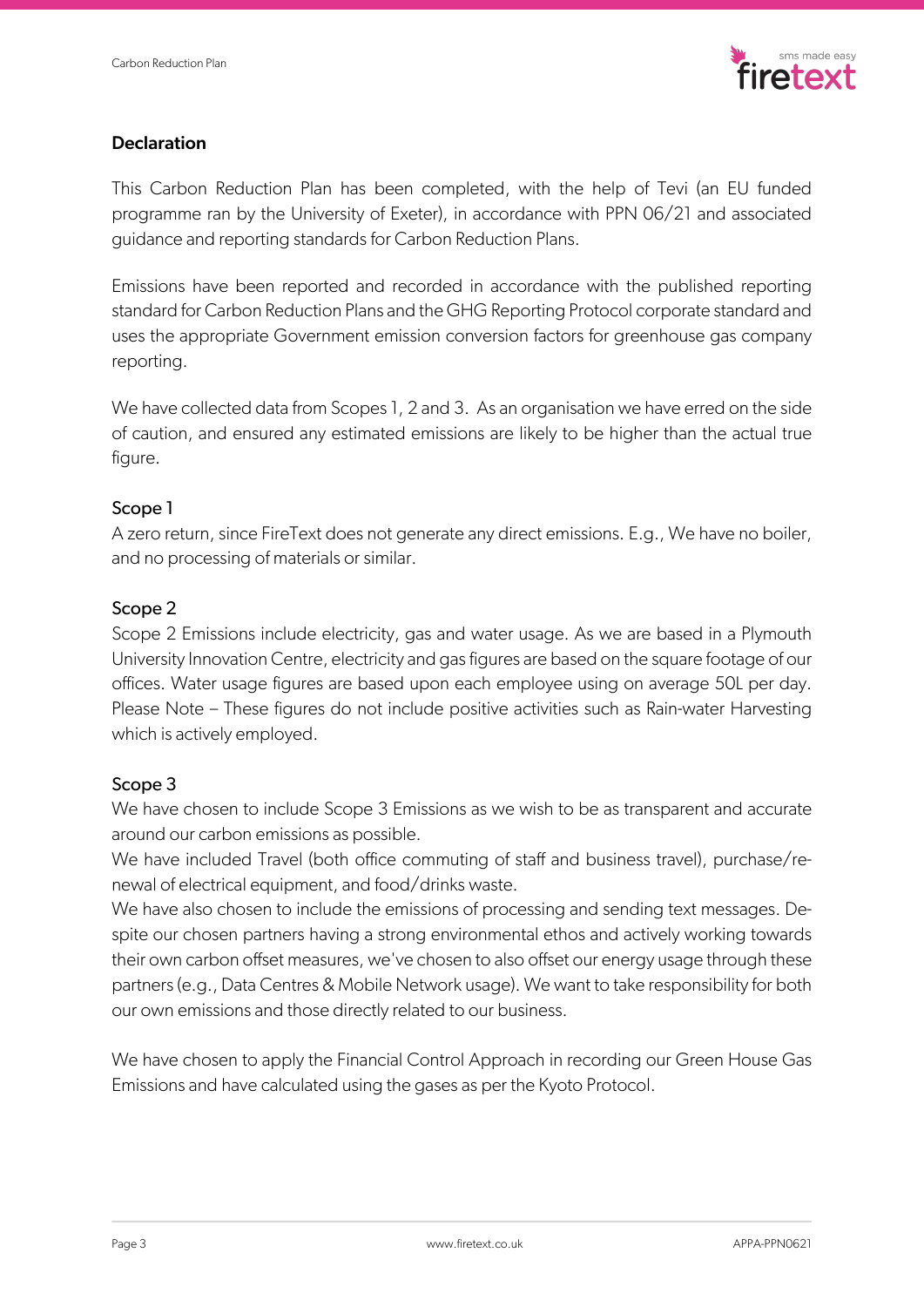

### **Declaration**

This Carbon Reduction Plan has been completed, with the help of Tevi (an EU funded programme ran by the University of Exeter), in accordance with PPN 06/21 and associated guidance and reporting standards for Carbon Reduction Plans.

Emissions have been reported and recorded in accordance with the published reporting standard for Carbon Reduction Plans and the GHG Reporting Protocol corporate standard and uses the appropriate Government emission conversion factors for greenhouse gas company reporting.

We have collected data from Scopes 1, 2 and 3. As an organisation we have erred on the side of caution, and ensured any estimated emissions are likely to be higher than the actual true figure.

# Scope 1

A zero return, since FireText does not generate any direct emissions. E.g., We have no boiler, and no processing of materials or similar.

#### Scope 2

Scope 2 Emissions include electricity, gas and water usage. As we are based in a Plymouth University Innovation Centre, electricity and gas figures are based on the square footage of our offices. Water usage figures are based upon each employee using on average 50L per day. Please Note – These figures do not include positive activities such as Rain-water Harvesting which is actively employed.

#### Scope 3

We have chosen to include Scope 3 Emissions as we wish to be as transparent and accurate around our carbon emissions as possible.

We have included Travel (both office commuting of staff and business travel), purchase/renewal of electrical equipment, and food/drinks waste.

We have also chosen to include the emissions of processing and sending text messages. Despite our chosen partners having a strong environmental ethos and actively working towards their own carbon offset measures, we've chosen to also offset our energy usage through these partners (e.g., Data Centres & Mobile Network usage). We want to take responsibility for both our own emissions and those directly related to our business.

We have chosen to apply the Financial Control Approach in recording our Green House Gas Emissions and have calculated using the gases as per the Kyoto Protocol.